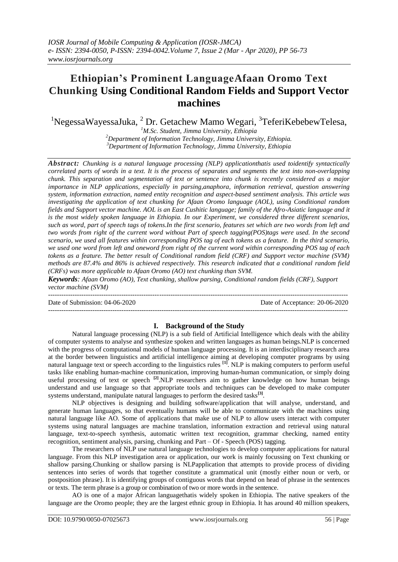## **Ethiopian"s Prominent LanguageAfaan Oromo Text Chunking Using Conditional Random Fields and Support Vector machines**

 $1$ NegessaWayessaJuka,  $2$  Dr. Getachew Mamo Wegari,  $3$ TeferiKebebewTelesa,

*<sup>1</sup>M.Sc. Student, Jimma University, Ethiopia <sup>2</sup>Department of Information Technology, Jimma University, Ethiopia. <sup>3</sup>Department of Information Technology, Jimma University, Ethiopia*

*Abstract: Chunking is a natural language processing (NLP) applicationthatis used toidentify syntactically correlated parts of words in a text. It is the process of separates and segments the text into non-overlapping chunk. This separation and segmentation of text or sentence into chunk is recently considered as a major importance in NLP applications, especially in parsing,anaphora, information retrieval, question answering system, information extraction, named entity recognition and aspect-based sentiment analysis. This article was investigating the application of text chunking for Afaan Oromo language (AOL), using Conditional random fields and Support vector machine. AOL is an East Cushitic language; family of the Afro-Asiatic language and it is the most widely spoken language in Ethiopia. In our Experiment, we considered three different scenarios, such as word, part of speech tags of tokens.In the first scenario, features set which are two words from left and two words from right of the current word without Part of speech tagging(POS)tags were used. In the second scenario, we used all features within corresponding POS tag of each tokens as a feature. In the third scenario, we used one word from left and oneword from right of the current word within corresponding POS tag of each tokens as a feature. The better result of Conditional random field (CRF) and Support vector machine (SVM) methods are 87.4% and 86% is achieved respectively. This research indicated that a conditional random field (CRFs) was more applicable to Afaan Oromo (AO) text chunking than SVM.*

*Keywords: Afaan Oromo (AO), Text chunking, shallow parsing, Conditional random fields (CRF), Support vector machine (SVM)*

--------------------------------------------------------------------------------------------------------------------------------------- Date of Submission: 04-06-2020 Date of Acceptance: 20-06-2020  $-1\leq i\leq n-1$ 

#### **I. Background of the Study**

Natural language processing (NLP) is a sub field of Artificial Intelligence which deals with the ability of computer systems to analyse and synthesize spoken and written languages as human beings.NLP is concerned with the progress of computational models of human language processing. It is an interdisciplinary research area at the border between linguistics and artificial intelligence aiming at developing computer programs by using natural language text or speech according to the linguistics rules **[1]**. NLP is making computers to perform useful tasks like enabling human-machine communication, improving human-human communication, or simply doing useful processing of text or speech <sup>[2]</sup>.NLP researchers aim to gather knowledge on how human beings understand and use language so that appropriate tools and techniques can be developed to make computer systems understand, manipulate natural languages to perform the desired tasks<sup>[3]</sup>.

NLP objectives is designing and building software/application that will analyse, understand, and generate human languages, so that eventually humans will be able to communicate with the machines using natural language like AO. Some of applications that make use of NLP to allow users interact with computer systems using natural languages are machine translation, information extraction and retrieval using natural language, text-to-speech synthesis, automatic written text recognition, grammar checking, named entity recognition, sentiment analysis, parsing, chunking and Part – Of - Speech (POS) tagging.

The researchers of NLP use natural language technologies to develop computer applications for natural language. From this NLP investigation area or application, our work is mainly focussing on Text chunking or shallow parsing.Chunking or shallow parsing is NLPapplication that attempts to provide process of dividing sentences into series of words that together constitute a grammatical unit (mostly either noun or verb, or postposition phrase). It is identifying groups of contiguous words that depend on head of phrase in the sentences or texts. The term phrase is a group or combination of two or more words in the sentence.

AO is one of a major African languagethatis widely spoken in Ethiopia. The native speakers of the language are the Oromo people; they are the largest ethnic group in Ethiopia. It has around 40 million speakers,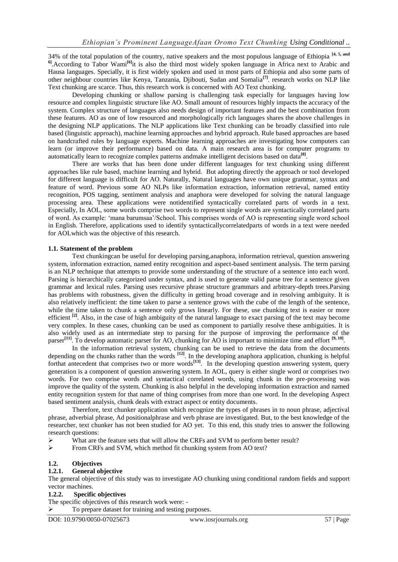34% of the total population of the country, native speakers and the most populous language of Ethiopia **[4, 5, and**  <sup>6</sup>. According to Tabor Wami<sup>[6]</sup>it is also the third most widely spoken language in Africa next to Arabic and Hausa languages. Specially, it is first widely spoken and used in most parts of Ethiopia and also some parts of other neighbour countries like Kenya, Tanzania, Djibouti, Sudan and Somalia**[7]**. research works on NLP like Text chunking are scarce. Thus, this research work is concerned with AO Text chunking.

Developing chunking or shallow parsing is challenging task especially for languages having low resource and complex linguistic structure like AO. Small amount of resources highly impacts the accuracy of the system. Complex structure of languages also needs design of important features and the best combination from these features. AO as one of low resourced and morphologically rich languages shares the above challenges in the designing NLP applications. The NLP applications like Text chunking can be broadly classified into rule based (linguistic approach), machine learning approaches and hybrid approach. Rule based approaches are based on handcrafted rules by language experts. Machine learning approaches are investigating how computers can learn (or improve their performance) based on data. A main research area is for computer programs to automatically learn to recognize complex patterns andmake intelligent decisions based on data<sup>[8]</sup>.

There are works that has been done under different languages for text chunking using different approaches like rule based, machine learning and hybrid. But adopting directly the approach or tool developed for different language is difficult for AO. Naturally, Natural languages have own unique grammar, syntax and feature of word. Previous some AO NLPs like information extraction, information retrieval, named entity recognition, POS tagging, sentiment analysis and anaphora were developed for solving the natural language processing area. These applications were notidentified syntactically correlated parts of words in a text. Especially, In AOL, some words comprise two words to represent single words are syntactically correlated parts of word. As example: "mana barumsaa"/School. This comprises words of AO is representing single word school in English. Therefore, applications used to identify syntacticallycorrelatedparts of words in a text were needed for AOLwhich was the objective of this research.

#### **1.1. Statement of the problem**

Text chunkingcan be useful for developing parsing,anaphora, information retrieval, question answering system, information extraction, named entity recognition and aspect-based sentiment analysis. The term parsing is an NLP technique that attempts to provide some understanding of the structure of a sentence into each word. Parsing is hierarchically categorized under syntax, and is used to generate valid parse tree for a sentence given grammar and lexical rules. Parsing uses recursive phrase structure grammars and arbitrary-depth trees.Parsing has problems with robustness, given the difficulty in getting broad coverage and in resolving ambiguity. It is also relatively inefficient: the time taken to parse a sentence grows with the cube of the length of the sentence, while the time taken to chunk a sentence only grows linearly. For these, use chunking text is easier or more efficient <sup>[2]</sup>. Also, in the case of high ambiguity of the natural language to exact parsing of the text may become very complex. In these cases, chunking can be used as component to partially resolve these ambiguities. It is also widely used as an intermediate step to parsing for the purpose of improving the performance of the parser<sup>[11]</sup>. To develop automatic parser for AO, chunking for AO is important to minimize time and effort <sup>[9, 10]</sup>.

In the information retrieval system, chunking can be used to retrieve the data from the documents depending on the chunks rather than the words **[12]** . In the developing anaphora application, chunking is helpful forthat antecedent that comprises two or more words<sup>[13]</sup>. In the developing question answering system, query generation is a component of question answering system. In AOL, query is either single word or comprises two words. For two comprise words and syntactical correlated words, using chunk in the pre-processing was improve the quality of the system. Chunking is also helpful in the developing information extraction and named entity recognition system for that name of thing comprises from more than one word. In the developing Aspect based sentiment analysis, chunk deals with extract aspect or entity documents.

Therefore, text chunker application which recognize the types of phrases in to noun phrase, adjectival phrase, adverbial phrase, Ad positionalphrase and verb phrase are investigated. But, to the best knowledge of the researcher, text chunker has not been studied for AO yet. To this end, this study tries to answer the following research questions:

 $\triangleright$  What are the feature sets that will allow the CRFs and SVM to perform better result?

From CRFs and SVM, which method fit chunking system from AO text?

# **1.2. Objectives**

#### **1.2.1. General objective**

The general objective of this study was to investigate AO chunking using conditional random fields and support vector machines.

#### **1.2.2. Specific objectives**

The specific objectives of this research work were: -

To prepare dataset for training and testing purposes.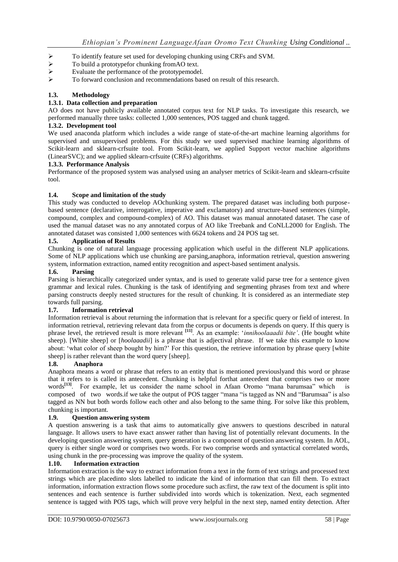- > To identify feature set used for developing chunking using CRFs and SVM.<br>
→ To build a prototypefor chunking from AO text.<br>
→ Evaluate the performance of the prototypemodel.
- To build a prototypefor chunking fromAO text.
- Evaluate the performance of the prototypemodel.<br>  $\triangleright$  To forward conclusion and recommendations has
- To forward conclusion and recommendations based on result of this research.

## **1.3. Methodology**

#### **1.3.1. Data collection and preparation**

AO does not have publicly available annotated corpus text for NLP tasks. To investigate this research, we performed manually three tasks: collected 1,000 sentences, POS tagged and chunk tagged.

#### **1.3.2. Development tool**

We used anaconda platform which includes a wide range of state-of-the-art machine learning algorithms for supervised and unsupervised problems. For this study we used supervised machine learning algorithms of Scikit-learn and sklearn-crfsuite tool. From Scikit-learn, we applied Support vector machine algorithms (LinearSVC); and we applied sklearn-crfsuite (CRFs) algorithms.

#### **1.3.3. Performance Analysis**

Performance of the proposed system was analysed using an analyser metrics of Scikit-learn and sklearn-crfsuite tool.

#### **1.4. Scope and limitation of the study**

This study was conducted to develop AOchunking system. The prepared dataset was including both purposebased sentence (declarative, interrogative, imperative and exclamatory) and structure-based sentences (simple, compound, complex and compound-complex) of AO. This dataset was manual annotated dataset. The case of used the manual dataset was no any annotated corpus of AO like Treebank and CoNLL2000 for English. The annotated dataset was consisted 1,000 sentences with 6624 tokens and 24 POS tag set.

#### **1.5. Application of Results**

Chunking is one of natural language processing application which useful in the different NLP applications. Some of NLP applications which use chunking are parsing,anaphora, information retrieval, question answering system, information extraction, named entity recognition and aspect-based sentiment analysis.

#### **1.6. Parsing**

Parsing is hierarchically categorized under syntax, and is used to generate valid parse tree for a sentence given grammar and lexical rules. Chunking is the task of identifying and segmenting phrases from text and where parsing constructs deeply nested structures for the result of chunking. It is considered as an intermediate step towards full parsing.

#### **1.7. Information retrieval**

Information retrieval is about returning the information that is relevant for a specific query or field of interest. In information retrieval, retrieving relevant data from the corpus or documents is depends on query. If this query is phrase level, the retrieved result is more relevant **[11]** . As an example: "*innihoolaaadii bite'*. (He bought white sheep). [White sheep] or [*hoolaaadii*] is a phrase that is adjectival phrase. If we take this example to know about: "what color of sheep bought by him?" For this question, the retrieve information by phrase query [white sheep) is rather relevant than the word query [sheep].

#### **1.8. Anaphora**

Anaphora means a word or phrase that refers to an entity that is mentioned previouslyand this word or phrase that it refers to is called its antecedent. Chunking is helpful forthat antecedent that comprises two or more words<sup>[13]</sup>. For example, let us consider the name school in Afaan Oromo "mana barumsaa" which is composed of two words.if we take the output of POS tagger "mana "is tagged as NN and "Barumsaa" is also tagged as NN but both words follow each other and also belong to the same thing. For solve like this problem, chunking is important.

#### **1.9. Question answering system**

A question answering is a task that aims to automatically give answers to questions described in natural language. It allows users to have exact answer rather than having list of potentially relevant documents. In the developing question answering system, query generation is a component of question answering system. In AOL, query is either single word or comprises two words. For two comprise words and syntactical correlated words, using chunk in the pre-processing was improve the quality of the system.

#### **1.10. Information extraction**

Information extraction is the way to extract information from a text in the form of text strings and processed text strings which are placedinto slots labelled to indicate the kind of information that can fill them. To extract information, information extraction flows some procedure such as:first, the raw text of the document is split into sentences and each sentence is further subdivided into words which is tokenization. Next, each segmented sentence is tagged with POS tags, which will prove very helpful in the next step, named entity detection. After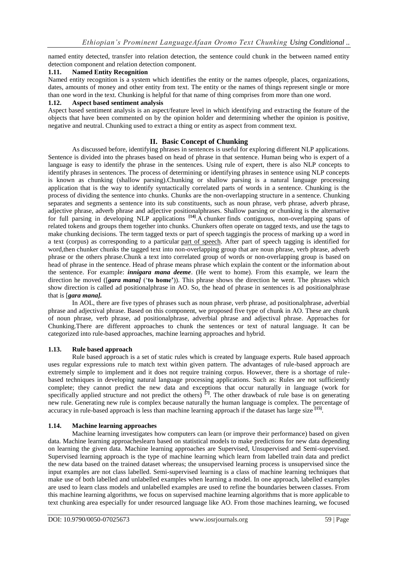named entity detected, transfer into relation detection, the sentence could chunk in the between named entity detection component and relation detection component.

#### **1.11. Named Entity Recognition**

Named entity recognition is a system which identifies the entity or the names ofpeople, places, organizations, dates, amounts of money and other entity from text. The entity or the names of things represent single or more than one word in the text. Chunking is helpful for that name of thing comprises from more than one word.

#### **1.12. Aspect based sentiment analysis**

Aspect based sentiment analysis is an aspect/feature level in which identifying and extracting the feature of the objects that have been commented on by the opinion holder and determining whether the opinion is positive, negative and neutral. Chunking used to extract a thing or entity as aspect from comment text.

## **II. Basic Concept of Chunking**

As discussed before, identifying phrases in sentences is useful for exploring different NLP applications. Sentence is divided into the phrases based on head of phrase in that sentence. Human being who is expert of a language is easy to identify the phrase in the sentences. Using rule of expert, there is also NLP concepts to identify phrases in sentences. The process of determining or identifying phrases in sentence using NLP concepts is known as chunking (shallow parsing).Chunking or shallow parsing is a natural language processing application that is the way to identify syntactically correlated parts of words in a sentence. Chunking is the process of dividing the sentence into chunks. Chunks are the non-overlapping structure in a sentence. Chunking separates and segments a sentence into its sub constituents, such as noun phrase, verb phrase, adverb phrase, adjective phrase, adverb phrase and adjective positionalphrases. Shallow parsing or chunking is the alternative for full parsing in developing NLP applications <sup>[14]</sup>. A chunker finds contiguous, non-overlapping spans of related tokens and groups them together into chunks. Chunkers often operate on tagged texts, and use the tags to make chunking decisions. The term tagged texts or part of speech taggingis the process of marking up a word in a text (corpus) as corresponding to a particular [part of speech.](https://en.wikipedia.org/wiki/Parts_of_speech) After part of speech tagging is identified for word,then chunker chunks the tagged text into non-overlapping group that are noun phrase, verb phrase, adverb phrase or the others phrase.Chunk a text into correlated group of words or non-overlapping group is based on head of phrase in the sentence. Head of phrase means phrase which explain the content or the information about the sentence. For example: *innigara mana deeme*. (He went to home). From this example, we learn the direction he moved ([*gara mana]* ("**to home"**)). This phrase shows the direction he went. The phrases which show direction is called ad positionalphrase in AO. So, the head of phrase in sentences is ad positionalphrase that is [*gara mana].*

In AOL, there are five types of phrases such as noun phrase, verb phrase, ad positionalphrase, adverbial phrase and adjectival phrase. Based on this component, we proposed five type of chunk in AO. These are chunk of noun phrase, verb phrase, ad positionalphrase, adverbial phrase and adjectival phrase. Approaches for Chunking.There are different approaches to chunk the sentences or text of natural language. It can be categorized into rule-based approaches, machine learning approaches and hybrid.

#### **1.13. Rule based approach**

Rule based approach is a set of static rules which is created by language experts. Rule based approach uses regular expressions rule to match text within given pattern. The advantages of rule-based approach are extremely simple to implement and it does not require training corpus. However, there is a shortage of rulebased techniques in developing natural language processing applications. Such as: Rules are not sufficiently complete; they cannot predict the new data and exceptions that occur naturally in language (work for specifically applied structure and not predict the others)  $^{[7]}$ . The other drawback of rule base is on generating new rule. Generating new rule is complex because naturally the human language is complex. The percentage of accuracy in rule-based approach is less than machine learning approach if the dataset has large size **[15]** .

#### **1.14. Machine learning approaches**

Machine learning investigates how computers can learn (or improve their performance) based on given data. Machine learning approacheslearn based on statistical models to make predictions for new data depending on learning the given data. Machine learning approaches are Supervised, Unsupervised and Semi-supervised. Supervised learning approach is the type of machine learning which learn from labelled train data and predict the new data based on the trained dataset whereas; the unsupervised learning process is unsupervised since the input examples are not class labelled. Semi-supervised learning is a class of machine learning techniques that make use of both labelled and unlabelled examples when learning a model. In one approach, labelled examples are used to learn class models and unlabelled examples are used to refine the boundaries between classes. From this machine learning algorithms, we focus on supervised machine learning algorithms that is more applicable to text chunking area especially for under resourced language like AO. From those machines learning, we focused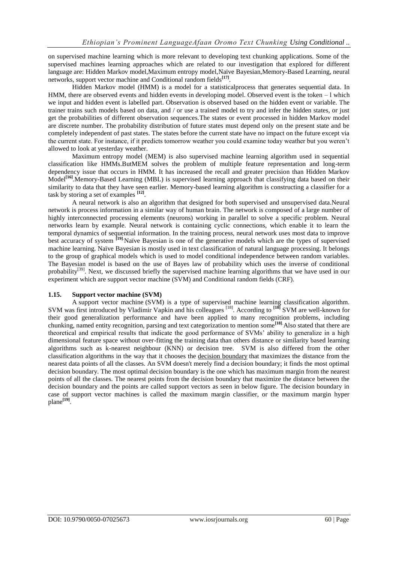on supervised machine learning which is more relevant to developing text chunking applications. Some of the supervised machines learning approaches which are related to our investigation that explored for different language are: Hidden Markov model,Maximum entropy model,Naïve Bayesian,Memory-Based Learning, neural networks, support vector machine and Conditional random fields**[17]** .

Hidden Markov model (HMM) is a model for a statisticalprocess that generates sequential data. In HMM, there are observed events and hidden events in developing model. Observed event is the token  $-1$  which we input and hidden event is labelled part. Observation is observed based on the hidden event or variable. The trainer trains such models based on data, and / or use a trained model to try and infer the hidden states, or just get the probabilities of different observation sequences.The states or event processed in hidden Markov model are discrete number. The probability distribution of future states must depend only on the present state and be completely independent of past states. The states before the current state have no impact on the future except via the current state. For instance, if it predicts tomorrow weather you could examine today weather but you weren"t allowed to look at yesterday weather.

Maximum entropy model (MEM) is also supervised machine learning algorithm used in sequential classification like HMMs.ButMEM solves the problem of multiple feature representation and long-term dependency issue that occurs in HMM. It has increased the recall and greater precision than Hidden Markov Model<sup>[16]</sup>.Memory-Based Learning (MBL) is supervised learning approach that classifying data based on their similarity to data that they have seen earlier. Memory-based learning algorithm is constructing a classifier for a task by storing a set of examples **[12]** .

A neural network is also an algorithm that designed for both supervised and unsupervised data.Neural network is process information in a similar way of human brain. The network is composed of a large number of highly interconnected processing elements (neurons) working in parallel to solve a specific problem. Neural networks learn by example. Neural network is containing cyclic connections, which enable it to learn the temporal dynamics of sequential information. In the training process, neural network uses most data to improve best accuracy of system **[19]**.Naïve Bayesian is one of the generative models which are the types of supervised machine learning. Naïve Bayesian is mostly used in text classification of natural language processing. It belongs to the group of graphical models which is used to model conditional independence between random variables. The Bayesian model is based on the use of Bayes law of probability which uses the inverse of conditional probability<sup>[39]</sup>. Next, we discussed briefly the supervised machine learning algorithms that we have used in our experiment which are support vector machine (SVM) and Conditional random fields (CRF).

#### **1.15. Support vector machine (SVM)**

A support vector machine (SVM) is a type of supervised machine learning classification algorithm. SVM was first introduced by Vladimir Vapkin and his colleagues [18] . According to **[18]** SVM are well-known for their good generalization performance and have been applied to many recognition problems, including chunking, named entity recognition, parsing and text categorization to mention some**[18]**.Also stated that there are theoretical and empirical results that indicate the good performance of SVMs" ability to generalize in a high dimensional feature space without over-fitting the training data than others distance or similarity based learning algorithms such as k-nearest neighbour (KNN) or decision tree. SVM is also differed from the other classification algorithms in the way that it chooses the [decision boundary](https://en.wikipedia.org/wiki/Decision_boundary) that maximizes the distance from the nearest data points of all the classes. An SVM doesn't merely find a decision boundary; it finds the most optimal decision boundary. The most optimal decision boundary is the one which has maximum margin from the nearest points of all the classes. The nearest points from the decision boundary that maximize the distance between the decision boundary and the points are called support vectors as seen in below figure. The decision boundary in case of support vector machines is called the maximum margin classifier, or the maximum margin hyper plane**[19]** .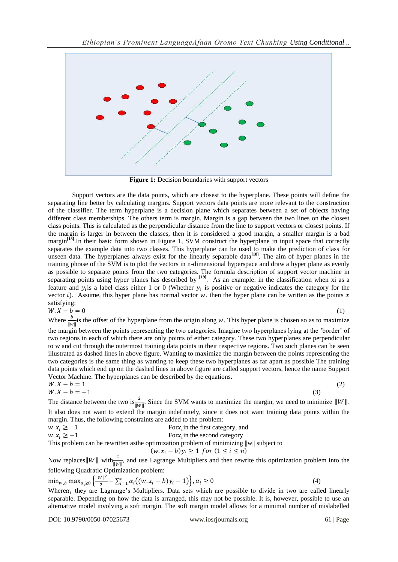

**Figure 1:** Decision boundaries with support vectors

Support vectors are the data points, which are closest to the hyperplane. These points will define the separating line better by calculating margins. Support vectors data points are more relevant to the construction of the classifier. The term hyperplane is a decision plane which separates between a set of objects having different class memberships. The others term is margin. Margin is a gap between the two lines on the closest class points. This is calculated as the perpendicular distance from the line to support vectors or closest points. If the margin is larger in between the classes, then it is considered a good margin, a smaller margin is a bad margin<sup>[18]</sup>.In their basic form shown in Figure 1, SVM construct the hyperplane in input space that correctly separates the example data into two classes. This hyperplane can be used to make the prediction of class for unseen data. The hyperplanes always exist for the linearly separable data<sup>[18]</sup>. The aim of hyper planes in the training phrase of the SVM is to plot the vectors in n-dimensional hyperspace and draw a hyper plane as evenly as possible to separate points from the two categories. The formula description of support vector machine in separating points using hyper planes has described by <sup>[19]</sup>. As an example: in the classification when xi as a feature and  $y_i$  is a label class either 1 or 0 (Whether  $y_i$  is positive or negative indicates the category for the vector i). Assume, this hyper plane has normal vector  $w$ , then the hyper plane can be written as the points  $x$ satisfying:

$$
W \cdot X - \bar{b} = 0 \tag{1}
$$

Where  $\frac{b}{\|w\|}$  is the offset of the hyperplane from the origin along w. This hyper plane is chosen so as to maximize the margin between the points representing the two categories. Imagine two hyperplanes lying at the "border" of two regions in each of which there are only points of either category. These two hyperplanes are perpendicular to w and cut through the outermost training data points in their respective regions. Two such planes can be seen illustrated as dashed lines in above figure. Wanting to maximize the margin between the points representing the two categories is the same thing as wanting to keep these two hyperplanes as far apart as possible The training data points which end up on the dashed lines in above figure are called support vectors, hence the name Support Vector Machine. The hyperplanes can be described by the equations.

$$
W \cdot X - b = 1 \tag{2}
$$
  
 
$$
W \cdot X - b = -1 \tag{3}
$$

The distance between the two is  $\frac{2}{\|W\|}$ . Since the SVM wants to maximize the margin, we need to minimize  $\|W\|$ . It also does not want to extend the margin indefinitely, since it does not want training data points within the margin. Thus, the following constraints are added to the problem:

$$
w. x_i \ge 1
$$
  
For  $x_i$  in the first category, and  

$$
w. x_i \ge -1
$$
  
For  $x_i$  in the second category

This problem can be rewritten asthe optimization problem of minimizing ||w|| subject to

$$
(w.x_i - b)y_i \ge 1 \ for \ (1 \le i \le n)
$$

Now replaces  $||W||$  with  $\frac{2}{||W||}$ , and use Lagrange Multipliers and then rewrite this optimization problem into the following Quadratic Optimization problem:

$$
\min_{w,b} \max_{\alpha_i \ge 0} \left\{ \frac{\|w\|^2}{2} - \sum_{i=1}^n \alpha_i \left( (w, x_i - b)y_i - 1 \right) \right\}, \alpha_i \ge 0 \tag{4}
$$

Where  $\alpha_i$  they are Lagrange's Multipliers. Data sets which are possible to divide in two are called linearly separable. Depending on how the data is arranged, this may not be possible. It is, however, possible to use an alternative model involving a soft margin. The soft margin model allows for a minimal number of mislabelled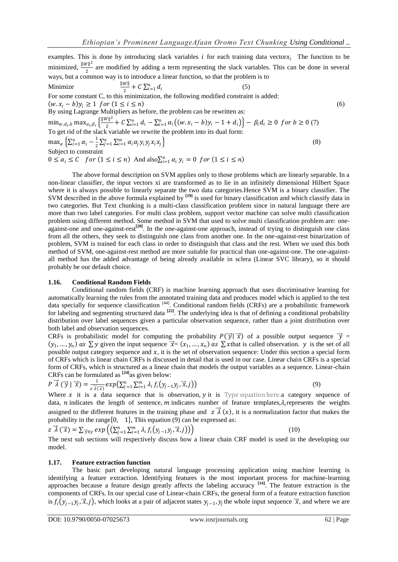examples. This is done by introducing slack variables  $i$  for each training data vector $x_i$ . The function to be minimized,  $\frac{||W||^2}{2}$  $\frac{\nu_{\parallel}}{2}$  are modified by adding a term representing the slack variables. This can be done in several ways, but a common way is to introduce a linear function, so that the problem is to Minimize  $\frac{w_{\parallel}}{2}$  + C  $\sum_{i=1}^{n} d_i$ (5) For some constant C, to this minimization, the following modified constraint is added:  $(w, x_i - b)y_i \ge 1$  for  $(1 \le i \le n)$  (6) By using Lagrange Multipliers as before, the problem can be rewritten as:  $\mathop{\min}_{w,d_i,b} \mathop{\max}_{\alpha_i,\beta_i} \left\{ \frac{\|w\|^2}{2} \right.$  $\frac{\nu_{\parallel}^{2}}{2} + C \sum_{i=1}^{n} d_i - \sum_{i=1}^{n} \alpha_i ((w.x_i - b)y_i - 1 + d_i) - \beta_i d_i \ge 0 \text{ for } b \ge 0 \text{ (7)}$ To get rid of the slack variable we rewrite the problem into its dual form:  $\max_{\alpha} \left\{ \sum_{i=1}^n \alpha_i - \frac{1}{2} \right\}$  $\frac{1}{2}\sum_{j=1}^n\sum_{i=1}^m \alpha_i \alpha_j y_i y_j x_i x_j$  $\tag{8}$ Subject to constraint  $0 \leq \alpha_i \leq C$  for  $(1 \leq i \leq n)$  And  $\text{also} \sum_{i=1}^n \alpha_i y_i = 0$  for  $(1 \leq i \leq n)$ 

The above formal description on SVM applies only to those problems which are linearly separable. In a non-linear classifier, the input vectors xi are transformed as to lie in an infinitely dimensional Hilbert Space where it is always possible to linearly separate the two data categories.Hence SVM is a binary classifier. The SVM described in the above formula explained by **[19]** is used for binary classification and which classify data in two categories. But Text chunking is a multi-class classification problem since in natural language there are more than two label categories. For multi class problem, support vector machine can solve multi classification problem using different method. Some method in SVM that used to solve multi classification problem are: oneagainst-one and one-against-rest**[20]**. In the one-against-one approach, instead of trying to distinguish one class from all the others, they seek to distinguish one class from another one. In the one-against-rest binarization of problem, SVM is trained for each class in order to distinguish that class and the rest. When we used this both method of SVM, one-against-rest method are more suitable for practical than one-against-one. The one-againstall method has the added advantage of being already available in sclera [\(Linear SVC](https://scikit-learn.org/stable/modules/generated/sklearn.svm.LinearSVC.html#sklearn.svm.LinearSVC) library), so it should probably be our default choice.

#### **1.16. Conditional Random Fields**

Conditional random fields (CRF) is machine learning approach that uses discriminative learning for automatically learning the rules from the annotated training data and produces model which is applied to the test data specially for sequence classification <sup>[44]</sup>. Conditional random fields (CRFs) are a probabilistic framework for labeling and segmenting structured data **[22]** . The underlying idea is that of defining a conditional probability distribution over label sequences given a particular observation sequence, rather than a joint distribution over both label and observation sequences.

CRFs is probabilistic model for computing the probability  $P(\vec{y} | \vec{x})$  of a possible output sequence  $\vec{y}$  =  $(y_1, ..., y_n)$  as  $\sum y$  given the input sequence  $\vec{x} = (x_1, ..., x_n)$  as  $\sum x$  that is called observation. y is the set of all possible output category sequence and  $x$ , it is the set of observation sequence: Under this section a special form of CRFs which is linear chain CRFs is discussed in detail that is used in our case. Linear chain CRFs is a special form of CRFs, which is structured as a linear chain that models the output variables as a sequence. Linear-chain CRFs can be formulated as **[24]** as given below:

$$
P \vec{\lambda} \left( \vec{\mathbf{y}} \mid \vec{\mathbf{x}} \right) = \frac{1}{z \vec{\lambda} \left( \vec{\mathbf{x}} \right)} exp\left( \sum_{j=1}^{n} \sum_{i=1}^{m} \lambda_i f_i \left( y_{j-1} y_j, \vec{\mathbf{x}}_i \right) \right) \tag{9}
$$

Where x it is a data sequence that is observation,  $y$  it is Type equation here. a category sequence of data, *n* indicates the length of sentence, *m* indicates number of feature templates,  $\lambda_i$  represents the weights assigned to the different features in the training phase and  $z \overrightarrow{\lambda}(x)$ , it is a normalization factor that makes the probability in the range  $[0, 1]$ , This equation (9) can be expressed as:

$$
z\overrightarrow{\lambda}(\overrightarrow{x}) = \sum_{\overrightarrow{y}\in y} exp\left(\left(\sum_{j=1}^{n} \sum_{i=1}^{m} \lambda_i f_i(y_{j-1}y_j, \overrightarrow{x}, j)\right)\right)
$$
(10)

The next sub sections will respectively discuss how a linear chain CRF model is used in the developing our model.

#### **1.17. Feature extraction function**

The basic part developing natural language processing application using machine learning is identifying a feature extraction. Identifying features is the most important process for machine-learning approaches because a feature design greatly affects the labeling accuracy **[14]** . The feature extraction is the components of CRFs. In our special case of Linear-chain CRFs, the general form of a feature extraction function is  $f_i(y_{j-1}y_j, \vec{x}, j)$ , which looks at a pair of adjacent states  $y_{j-1}$ ,  $y_j$  the whole input sequence  $\vec{x}$ , and where we are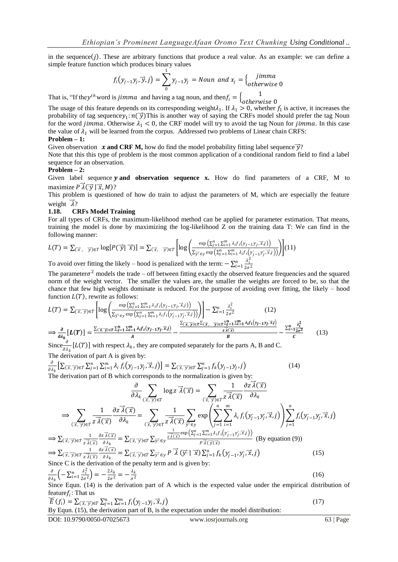in the sequence  $(j)$ . These are arbitrary functions that produce a real value. As an example: we can define a simple feature function which produces binary values

$$
f_i(y_{j-1}y_j, \vec{y}, j) = \sum_{0}^{1} y_{j-1}y_j = \text{Noun and } x_j = \begin{cases} \text{jimma} \\ \text{otherwise} \end{cases}
$$

That is, "If they<sup>th</sup> word is *jimma* and having a tag noun, and then  $f_i = \begin{cases} 1 \\ 0 \text{ then } 1 \end{cases}$ 

otherwise 0 The usage of this feature depends on its corresponding weight $\lambda_1$ . If  $\lambda_1 > 0$ , whether  $f_1$  is active, it increases the probability of tag sequence  $y_1: n(\vec{y})$  This is another way of saying the CRFs model should prefer the tag Noun for the word *jimma*. Otherwise  $\lambda_1 < 0$ , the CRF model will try to avoid the tag Noun for *jimma*. In this case the value of  $\lambda_1$  will be learned from the corpus. Addressed two problems of Linear chain CRFS: **Problem – 1:**

Given observation *x* **and CRF M,** how do find the model probability fitting label sequence  $\vec{y}$ ?

Note that this this type of problem is the most common application of a conditional random field to find a label sequence for an observation.

#### **Problem – 2:**

Given label sequence **y and observation sequence x.** How do find parameters of a CRF, M to maximize  $P \lambda(\vec{v} | \vec{x}, M)$ ?

This problem is questioned of how do train to adjust the parameters of M, which are especially the feature weight  $\vec{\lambda}$ ?

#### **1.18. CRFs Model Training**

For all types of CRFs, the maximum-likelihood method can be applied for parameter estimation. That means, training the model is done by maximizing the log-likelihood Z on the training data T: We can find in the following manner:

$$
L(T) = \sum_{(\vec{x}, \vec{y}) \in T} \log[P(\vec{y} | \vec{x})] = \sum_{(\vec{x}, \vec{y}) \in T} \left[ \log \left( \frac{\exp \left( \sum_{j=1}^{n} \sum_{i=1}^{m} \lambda_i f_i(y_{j-1} y_j, \vec{x}_j) \right)}{\sum_{\vec{y}^* \in y} \exp \left( \sum_{j=1}^{n} \sum_{i=1}^{m} \lambda_i f_i(y_{j-1} y_j, \vec{x}_j) \right)} \right) \right] (11)
$$

To avoid over fitting the likely – hood is penalized with the term:  $-\sum_{i=1}^{n} \frac{\lambda_i^2}{2\epsilon_i^2}$  $\frac{n}{i=1} \frac{\lambda_i^2}{2\sigma^2}$ 

The parameter $\sigma^2$  models the trade – off between fitting exactly the observed feature frequencies and the squared norm of the weight vector. The smaller the values are, the smaller the weights are forced to be, so that the chance that few high weights dominate is reduced. For the purpose of avoiding over fitting, the likely – hood function  $L(T)$ , rewrite as follows:

$$
L(T) = \sum_{(\vec{x}, \vec{y}) \in T} \left[ \log \left( \frac{\exp \left( \sum_{j=1}^{n} \sum_{i=1}^{m} \lambda_{i} f_{i}(y_{j-1}y_{j}, \vec{x}_{j}) \right)}{\sum_{\vec{y} \in \mathcal{y} \in T} \sum_{j=1}^{n} \sum_{i=1}^{m} \lambda_{i} f_{i}(y_{j-1}y_{j}, \vec{x}_{j})} \right) \right] - \sum_{i=1}^{n} \frac{\lambda_{i}^{2}}{2\sigma^{2}} \qquad (12)
$$
  
\n
$$
\implies \frac{\partial}{\partial \lambda_{k}} \left[ L(T) \right] = \frac{\sum_{(\vec{x}, \vec{y}) \in T} \sum_{j=1}^{n} \sum_{i=1}^{m} \lambda_{i} f_{i}(y_{j-1}y_{j}, \vec{x}_{j})}{A} - \frac{\frac{\sum_{(\vec{x}, \vec{y}) \in T} \sum_{i=1}^{n} \sum_{i=1}^{m} \lambda_{i} f_{i}(y_{j-1}y_{j}, \vec{x}_{j})}{\sum_{\vec{x}, \vec{x} \in T} \sum_{j=1}^{n} \sum_{i=1}^{m} \lambda_{i} f_{i}(y_{j-1}y_{j}, \vec{x}_{j})}{B} - \frac{\sum_{i=1}^{n} \frac{\lambda_{i}^{2}}{2\sigma^{2}}}{C} \qquad (13)
$$

Since  $\frac{\partial}{\partial \lambda_k}[L(T)]$  with respect  $\lambda_k$ , they are computed separately for the parts A, B and C. The derivation of part A is given by:

$$
\frac{\partial}{\partial \lambda_k} \left[ \sum_{(\vec{x}, \vec{y}) \in T} \sum_{j=1}^n \sum_{i=1}^m \lambda_i f_i \left( y_{j-1} y_j, \vec{x}, j \right) \right] = \sum_{(\vec{x}, \vec{y}) \in T} \sum_{j=1}^n f_k \left( y_{j-1} y_j, j \right)
$$
\nThe derivation part of B, which corresponds to the normalization is given by:

\n
$$
\sum_{j=1}^n \sum_{j=1}^n f_k \left( y_j - \vec{y}, \vec{y} \right) = \sum_{j=1}^n \sum_{j=1}^n f_k \left( y_j - \vec{y}, \vec{y} \right)
$$

The derivation part of B which corresponds to the normalization is given by:

$$
\frac{\partial}{\partial \lambda_k} \sum_{(\vec{x}, \vec{y}) \in T} \log z \, \vec{\lambda}(\vec{x}) = \sum_{(\vec{x}, \vec{y}) \in T} \frac{1}{z \, \vec{\lambda}(\vec{x})} \frac{\partial z \, \vec{\lambda}(\vec{x})}{\partial \lambda_k}
$$
\n
$$
\Rightarrow \sum_{(\vec{x}, \vec{y}) \in T} \frac{1}{z \, \vec{\lambda}(\vec{x})} \frac{\partial z \, \vec{\lambda}(\vec{x})}{\partial \lambda_k} = \sum_{(\vec{x}, \vec{y}) \in T} \frac{1}{z \, \vec{\lambda}(\vec{x})} \sum_{\vec{y} \in \mathcal{Y}} \exp \left( \sum_{j=1}^n \sum_{i=1}^m \lambda_i f_i(y_{j-1}y_j, \vec{x}, j) \right) \sum_{j=1}^n f_i(y_{j-1}y_j, \vec{x}, j)
$$
\n
$$
\Rightarrow \sum_{(\vec{x}, \vec{y}) \in T} \frac{1}{z \, \vec{\lambda}(\vec{x})} \frac{\partial z \, \vec{\lambda}(\vec{x})}{\partial \lambda_k} = \sum_{(\vec{x}, \vec{y}) \in T} \sum_{\vec{y} \in \mathcal{Y}} \sum_{\vec{y} \in T} \sum_{\vec{y} \in T} \exp \left( \sum_{j=1}^n \sum_{i=1}^m \lambda_i f_i(y_{j-1}y_j, \vec{x}, j) \right) \text{ (By equation (9))}
$$
\n
$$
\Rightarrow \sum_{(\vec{x}, \vec{y}) \in T} \frac{1}{z \, \vec{\lambda}(\vec{x})} \frac{\partial z \, \vec{\lambda}(\vec{x})}{\partial \lambda_k} = \sum_{(\vec{x}, \vec{y}) \in T} \sum_{\vec{y} \in \mathcal{Y}} P \, \vec{\lambda}(\vec{y} \cdot \vec{x}) \sum_{j=1}^n f_k(y_{j-1}, y_j, \vec{x}, j) \text{ (By equation (9))}
$$
\n
$$
\sum_{\vec{x} \in T} \frac{1}{z \, \vec{\lambda}(\vec{x})} \frac{\partial z \, \vec{\lambda}(\vec{x})}{\partial \lambda_k} = \sum_{(\vec{x}, \vec{y}) \in T} \sum_{\vec{y} \in T} \sum_{\vec{y} \in T} \sum_{\vec{y} \in T} \vec{x} \frac{\partial z \, \vec{\lambda}(\vec{x})}{\partial
$$

$$
\frac{\partial}{\partial \lambda_k} \left( -\sum_{i=1}^n \frac{\lambda_i^2}{2\sigma^2} \right) = -\frac{2\lambda_k}{2\sigma^2} = -\frac{\lambda_k}{\sigma^2}
$$
\n(16)

Since Equn. (14) is the derivation part of A which is the expected value under the empirical distribution of feature $f_i$ : That us

$$
\widetilde{E}(f_i) = \sum_{(\vec{x}, \vec{y}) \in T} \sum_{i=1}^n \sum_{j=1}^m f_i(y_{j-1}y_j, \vec{x}, j)
$$
\n
$$
\text{But Form } (15) \text{ the deviation part of } \mathbf{P} \text{ is the expectation under the model distribution.}
$$
\n
$$
(17)
$$

By Equn. (15), the derivation part of B, is the expectation under the model distribution:

 $\overline{a}$ 

www.iosrjournals.org 63 | Page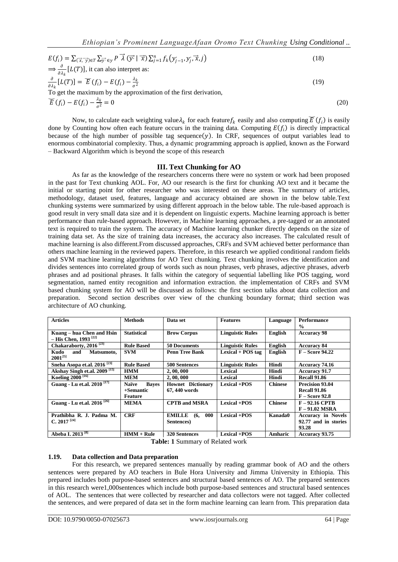$$
E(f_i) = \sum_{(\vec{x}, \vec{y}) \in T} \sum_{\vec{y}^i \in y} P \vec{\lambda} (\vec{y}^i | \vec{x}) \sum_{j=1}^n f_k(y_{j-1}, y_j; \vec{x}, j)
$$
(18)  
\n
$$
\Rightarrow \frac{\partial}{\partial \lambda_k} [L(T)], \text{ it can also interpret as:}
$$
  
\n
$$
\frac{\partial}{\partial \lambda_k} [L(T)] = \vec{E}(f_i) - E(f_i) - \frac{\lambda_k}{\sigma^2}
$$
  
\nTo get the maximum by the approximation of the first derivation,  
\n
$$
\vec{E}(f_i) - E(f_i) - \frac{\lambda_k}{\sigma^2} = 0
$$
(20)

Now, to calculate each weighting value $\lambda_k$  for each feature  $f_k$  easily and also computing  $\widetilde{E}(f_i)$  is easily done by Counting how often each feature occurs in the training data. Computing  $E(f_i)$  is directly impractical because of the high number of possible tag sequence  $(y)$ . In CRF, sequences of output variables lead to enormous combinatorial complexity. Thus, a dynamic programming approach is applied, known as the Forward – Backward Algorithm which is beyond the scope of this research

#### **III. Text Chunking for AO**

As far as the knowledge of the researchers concerns there were no system or work had been proposed in the past for Text chunking AOL. For, AO our research is the first for chunking AO text and it became the initial or starting point for other researcher who was interested on these areas. The summary of articles, methodology, dataset used, features, language and accuracy obtained are shown in the below table.Text chunking systems were summarized by using different approach in the below table. The rule-based approach is good result in very small data size and it is dependent on linguistic experts. Machine learning approach is better performance than rule-based approach. However, in Machine learning approaches, a pre-tagged or an annotated text is required to train the system. The accuracy of Machine learning chunker directly depends on the size of training data set. As the size of training data increases, the accuracy also increases. The calculated result of machine learning is also different.From discussed approaches, CRFs and SVM achieved better performance than others machine learning in the reviewed papers. Therefore, in this research we applied conditional random fields and SVM machine learning algorithms for AO Text chunking. Text chunking involves the identification and divides sentences into correlated group of words such as noun phrases, verb phrases, adjective phrases, adverb phrases and ad positional phrases. It falls within the category of sequential labelling like POS tagging, word segmentation, named entity recognition and information extraction. the implementation of CRFs and SVM based chunking system for AO will be discussed as follows: the first section talks about data collection and preparation. Second section describes over view of the chunking boundary format; third section was architecture of AO chunking.

| <b>Articles</b><br><b>Methods</b><br>Data set |                              | <b>Features</b>             | Language                | <b>Performance</b> |                           |
|-----------------------------------------------|------------------------------|-----------------------------|-------------------------|--------------------|---------------------------|
|                                               |                              |                             |                         |                    | $\frac{0}{0}$             |
| Kuang – hua Chen and Hsin                     | <b>Statistical</b>           | <b>Brow Corpus</b>          | <b>Linguistic Rules</b> | English            | <b>Accuracy 98</b>        |
| - His Chen, 1993 <sup>[22]</sup>              |                              |                             |                         |                    |                           |
| Chakaraborty, 2016 <sup>[23]</sup>            | <b>Rule Based</b>            | <b>50 Documents</b>         | <b>Linguistic Rules</b> | <b>English</b>     | <b>Accuracy 84</b>        |
| Kudo<br>and<br>Matsumoto.                     | <b>SVM</b>                   | <b>Penn Tree Bank</b>       | Lexical $+$ POS tag     | English            | $F - Score$ 94.22         |
| $2001^{25}$                                   |                              |                             |                         |                    |                           |
| Sneha Asopa et.al. 2016 <sup>[23]</sup>       | <b>Rule Based</b>            | <b>500 Sentences</b>        | <b>Linguistic Rules</b> | Hindi              | Accuracy 74.16            |
| Akshay Singh et.al. 2009 <sup>[15]</sup>      | <b>HMM</b>                   | 2, 00, 000                  | Lexical                 | Hindi              | <b>Accuracy 91.7</b>      |
| Koeling 2000 <sup>[16]</sup>                  | <b>MEM</b>                   | 2, 00, 000                  | Lexical                 | Hindi              | <b>Recall 91.86</b>       |
| Guang - Lu et.al. 2010 <sup>[17]</sup>        | <b>Naïve</b><br><b>Baves</b> | <b>Hownet</b> Dictionary    | <b>Lexical +POS</b>     | <b>Chinese</b>     | <b>Precision 93.04</b>    |
|                                               | $+$ Semantic                 | 67, 440 words               |                         |                    | <b>Recall 91.86</b>       |
|                                               | Feature                      |                             |                         |                    | $F - Score 92.8$          |
| Guang - Lu et.al. 2016 <sup>[26]</sup>        | <b>MEMA</b>                  | <b>CPTB</b> and MSRA        | <b>Lexical +POS</b>     | <b>Chinese</b>     | $F - 92.16$ CPTB          |
|                                               |                              |                             |                         |                    | $F - 91.02$ MSRA          |
| Prathibha R. J. Padma M.                      | <b>CRF</b>                   | 000<br><b>EMILLE</b><br>(6, | <b>Lexical +POS</b>     | Kanada0            | <b>Accuracy in Novels</b> |
| $C_{.}$ 2017 <sup>[24]</sup>                  |                              | Sentences)                  |                         |                    | 92.77 and in stories      |
|                                               |                              |                             |                         |                    | 93.28                     |
| Abeba I. 2013 <sup>[8]</sup>                  | $HMM + Rule$                 | <b>320 Sentences</b>        | <b>Lexical +POS</b>     | Amharic            | <b>Accuracy 93.75</b>     |

**Table: 1** Summary of Related work

#### **1.19. Data collection and Data preparation**

For this research, we prepared sentences manually by reading grammar book of AO and the others sentences were prepared by AO teachers in Bule Hora University and Jimma University in Ethiopia. This prepared includes both purpose-based sentences and structural based sentences of AO. The prepared sentences in this research were1,000sentences which include both purpose-based sentences and structural based sentences of AOL. The sentences that were collected by researcher and data collectors were not tagged. After collected the sentences, and were prepared of data set in the form machine learning can learn from. This preparation data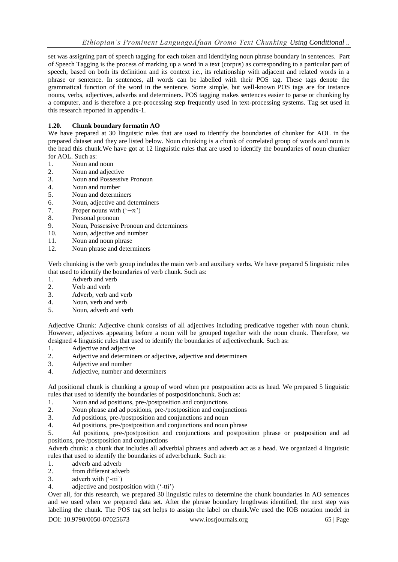set was assigning part of speech tagging for each token and identifying noun phrase boundary in sentences. Part of Speech Tagging is the process of marking up a word in a text (corpus) as corresponding to a particular part of speech, based on both its definition and its context i.e., its relationship with adjacent and related words in a phrase or sentence. In sentences, all words can be labelled with their POS tag. These tags denote the grammatical function of the word in the sentence. Some simple, but well-known POS tags are for instance nouns, verbs, adjectives, adverbs and determiners. POS tagging makes sentences easier to parse or chunking by a computer, and is therefore a pre-processing step frequently used in text-processing systems. Tag set used in this research reported in appendix-1.

## **1.20. Chunk boundary formatin AO**

We have prepared at 30 linguistic rules that are used to identify the boundaries of chunker for AOL in the prepared dataset and they are listed below. Noun chunking is a chunk of correlated group of words and noun is the head this chunk.We have got at 12 linguistic rules that are used to identify the boundaries of noun chunker for AOL. Such as:

- 1. Noun and noun
- 2. Noun and adjective
- 3. Noun and Possessive Pronoun
- 4. Noun and number
- 5. Noun and determiners
- 6. Noun, adjective and determiners
- 7. Proper nouns with  $(°-n)$
- 8. Personal pronoun
- 9. Noun, Possessive Pronoun and determiners
- 10. Noun, adjective and number
- 11. Noun and noun phrase
- 12. Noun phrase and determiners

Verb chunking is the verb group includes the main verb and auxiliary verbs. We have prepared 5 linguistic rules that used to identify the boundaries of verb chunk. Such as:

- 1. Adverb and verb
- 2. Verb and verb
- 3. Adverb, verb and verb
- 4. Noun, verb and verb
- 5. Noun, adverb and verb

Adjective Chunk: Adjective chunk consists of all adjectives including predicative together with noun chunk. However, adjectives appearing before a noun will be grouped together with the noun chunk. Therefore, we designed 4 linguistic rules that used to identify the boundaries of adjectivechunk. Such as:

- 1. Adjective and adjective
- 2. Adjective and determiners or adjective, adjective and determiners
- 3. Adjective and number
- 4. Adjective, number and determiners

Ad positional chunk is chunking a group of word when pre postposition acts as head. We prepared 5 linguistic rules that used to identify the boundaries of postpositionchunk. Such as:

- 1. Noun and ad positions, pre-/postposition and conjunctions
- 2. Noun phrase and ad positions, pre-/postposition and conjunctions
- 3. Ad positions, pre-/postposition and conjunctions and noun
- 4. Ad positions, pre-/postposition and conjunctions and noun phrase

5. Ad positions, pre-/postposition and conjunctions and postposition phrase or postposition and ad positions, pre-/postposition and conjunctions

Adverb chunk: a chunk that includes all adverbial phrases and adverb act as a head. We organized 4 linguistic rules that used to identify the boundaries of adverbchunk. Such as:

- 1. adverb and adverb
- 2. from different adverb
- 3. adverb with ("-tti")

#### 4. adjective and postposition with ("-tti")

Over all, for this research, we prepared 30 linguistic rules to determine the chunk boundaries in AO sentences and we used when we prepared data set. After the phrase boundary lengthwas identified, the next step was labelling the chunk. The POS tag set helps to assign the label on chunk.We used the IOB notation model in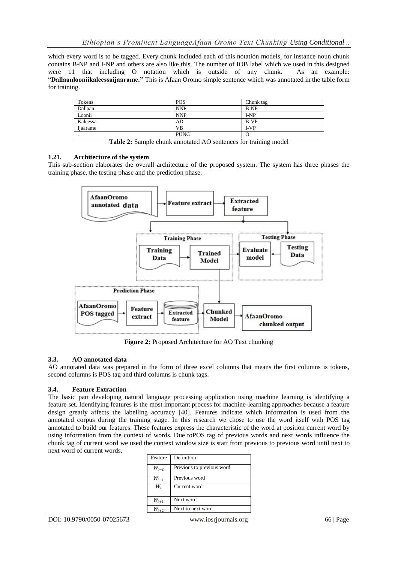which every word is to be tagged. Every chunk included each of this notation models, for instance noun chunk contains B-NP and I-NP and others are also like this. The number of IOB label which we used in this designed were 11 that including O notation which is outside of any chunk. As an example: "**Dallaanlooniikaleessaijaarame."** This is Afaan Oromo simple sentence which was annotated in the table form for training.

| <b>POS</b>  | Chunk tag |
|-------------|-----------|
| <b>NNP</b>  | $B-NP$    |
| <b>NNP</b>  | $I-NP$    |
| AD          | B-VP      |
| VB          | I-VP      |
| <b>PUNC</b> | O         |
|             |           |

**Table 2:** Sample chunk annotated AO sentences for training model

#### **1.21. Architecture of the system**

This sub-section elaborates the overall architecture of the proposed system. The system has three phases the training phase, the testing phase and the prediction phase.



**Figure 2:** Proposed Architecture for AO Text chunking

#### **3.3. AO annotated data**

AO annotated data was prepared in the form of three excel columns that means the first columns is tokens, second columns is POS tag and third columns is chunk tags.

#### **3.4. Feature Extraction**

The basic part developing natural language processing application using machine learning is identifying a feature set. Identifying features is the most important process for machine-learning approaches because a feature design greatly affects the labelling accuracy [40]. Features indicate which information is used from the annotated corpus during the training stage. In this research we chose to use the word itself with POS tag annotated to build our features. These features express the characteristic of the word at position current word by using information from the context of words. Due toPOS tag of previous words and next words influence the chunk tag of current word we used the context window size is start from previous to previous word until next to next word of current words.

| Feature   | Definition                |
|-----------|---------------------------|
| $W_{i-2}$ | Previous to previous word |
| $W_{i-1}$ | Previous word             |
| W,        | Current word              |
| $W_{i+1}$ | Next word                 |
|           | Next to next word         |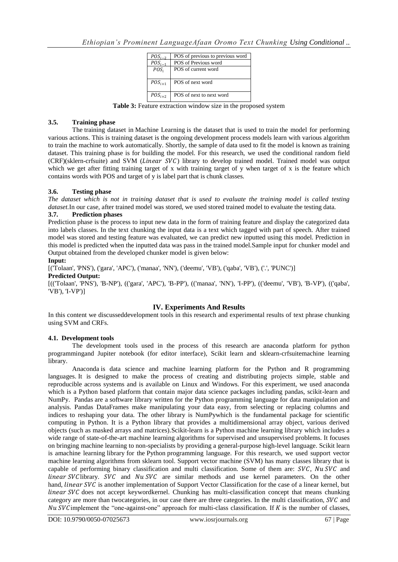| $POS_{i-2}$ | POS of previous to previous word |
|-------------|----------------------------------|
| $POS_{i-1}$ | POS of Previous word             |
| $POS_i$     | POS of current word              |
| $POS_{i+1}$ | POS of next word                 |
| $POS_{i+2}$ | POS of next to next word         |

**Table 3:** Feature extraction window size in the proposed system

#### **3.5. Training phase**

The training dataset in Machine Learning is the dataset that is used to train the model for performing various actions. This is training dataset is the ongoing development process models learn with various algorithm to train the machine to work automatically. Shortly, the sample of data used to fit the model is known as training dataset. This training phase is for building the model. For this research, we used the conditional random field  $(CRF)(sklern-crf suite)$  and SVM (*Linear SVC*) library to develop trained model. Trained model was output which we get after fitting training target of x with training target of y when target of x is the feature which contains words with POS and target of y is label part that is chunk classes.

#### **3.6. Testing phase**

*The dataset which is not in training dataset that is used to evaluate the training model is called testing dataset.*In our case, after trained model was stored, we used stored trained model to evaluate the testing data.

#### **3.7. Prediction phases**

Prediction phase is the process to input new data in the form of training feature and display the categorized data into labels classes. In the text chunking the input data is a text which tagged with part of speech. After trained model was stored and testing feature was evaluated, we can predict new inputted using this model. Prediction in this model is predicted when the inputted data was pass in the trained model.Sample input for chunker model and Output obtained from the developed chunker model is given below:

#### **Input:**

[('Tolaan', 'PNS'), ('gara', 'APC'), ('manaa', 'NN'), ('deemu', 'VB'), ('qaba', 'VB'), ('.', 'PUNC')]

## **Predicted Output:**

[(('Tolaan', 'PNS'), 'B-NP'), (('gara', 'APC'), 'B-PP'), (('manaa', 'NN'), 'I-PP'), (('deemu', 'VB'), 'B-VP'), (('qaba', 'VB'), 'I-VP')]

#### **IV. Experiments And Results**

In this content we discusseddevelopment tools in this research and experimental results of text phrase chunking using SVM and CRFs.

#### **4.1. Development tools**

The development tools used in the process of this research are anaconda platform for python programmingand Jupiter notebook (for editor interface), Scikit learn and sklearn-crfsuitemachine learning library.

Anaconda is data science and machine learning platform for the Python and R programming languages. It is designed to make the process of creating and distributing projects simple, stable and reproducible across systems and is available on Linux and Windows. For this experiment, we used anaconda which is a Python based platform that contain major data science packages including pandas, scikit-learn and NumPy. Pandas are a software library written for the Python programming language for data manipulation and analysis. Pandas DataFrames make manipulating your data easy, from selecting or replacing columns and indices to reshaping your data. The other library is NumPywhich is the fundamental package for scientific computing in Python. It is a Python library that provides a multidimensional array object, various derived objects (such as masked arrays and matrices).Scikit-learn is a Python machine learning library which includes a wide range of state-of-the-art machine learning algorithms for supervised and unsupervised problems. It focuses on bringing machine learning to non-specialists by providing a general-purpose high-level language. Scikit learn is amachine learning library for the Python programming language. For this research, we used support vector machine learning algorithms from sklearn tool. Support vector machine (SVM) has many classes library that is capable of performing binary classification and multi classification. Some of them are:  $SVC$ ,  $Nu$   $SVC$  and linear SVC library.  $SVC$  and  $Nu$   $SVC$  are similar methods and use kernel parameters. On the other hand, *linear SVC* is another implementation of Support Vector Classification for the case of a linear kernel, but  $linear$   $SVC$  does not accept keywordkernel. Chunking has multi-classification concept that means chunking category are more than two categories, in our case there are three categories. In the multi classification,  $SVC$  and Nu SVC implement the "one-against-one" approach for multi-class classification. If  $K$  is the number of classes,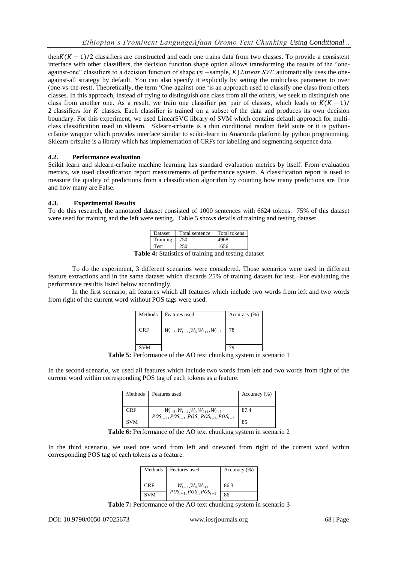then $K(K-1)/2$  classifiers are constructed and each one trains data from two classes. To provide a consistent interface with other classifiers, the decision function shape option allows transforming the results of the "oneagainst-one" classifiers to a decision function of shape  $(n$  -sample, K). Linear SVC automatically uses the oneagainst-all strategy by default. You can also specify it explicitly by setting the multiclass parameter to over (one-vs-the-rest). Theoretically, the term "One-against-one "is an approach used to classify one class from others classes. In this approach, instead of trying to distinguish one class from all the others, we seek to distinguish one class from another one. As a result, we train one classifier per pair of classes, which leads to  $K(K-1)/$ 2 classifiers for K classes. Each classifier is trained on a subset of the data and produces its own decision boundary. For this experiment, we used LinearSVC library of SVM which contains default approach for multiclass classification used in sklearn. Sklearn-crfsuite is a thin conditional random field suite or it is pythoncrfsuite wrapper which provides interface similar to scikit-learn in Anaconda platform by python programming. Sklearn-crfsuite is a library which has implementation of CRFs for labelling and segmenting sequence data.

## **4.2. Performance evaluation**

Scikit learn and sklearn-crfsuite machine learning has standard evaluation metrics by itself. From evaluation metrics, we used classification report measurements of performance system. A classification report is used to measure the quality of predictions from a classification algorithm by counting how many predictions are True and how many are False.

## **4.3. Experimental Results**

To do this research, the annotated dataset consisted of 1000 sentences with 6624 tokens. 75% of this dataset were used for training and the left were testing. Table 5 shows details of training and testing dataset.

| Dataset  | Total sentence | Total tokens |
|----------|----------------|--------------|
| Training |                | 4968         |
| Test     |                | 1656         |
|          |                |              |

**Table 4:** Statistics of training and testing dataset

To do the experiment, 3 different scenarios were considered. Those scenarios were used in different feature extractions and in the same dataset which discards 25% of training dataset for test. For evaluating the performance resultis listed below accordingly.

In the first scenario, all features which all features which include two words from left and two words from right of the current word without POS tags were used.

| Methods    | Features used                                         | Accuracy $(\% )$ |
|------------|-------------------------------------------------------|------------------|
| <b>CRF</b> | $W_{i-2}$ , $W_{i-1}$ , $W_i$ , $W_{i+1}$ , $W_{i+2}$ | 78               |
| <b>SVM</b> |                                                       |                  |

**Table 5:** Performance of the AO text chunking system in scenario 1

In the second scenario, we used all features which include two words from left and two words from right of the current word within corresponding POS tag of each tokens as a feature.

| Methods    | Features used                                                                                               | Accuracy (%) |
|------------|-------------------------------------------------------------------------------------------------------------|--------------|
| <b>CRF</b> | $W_{i-2}$ , $W_{i-1}$ , $W_i$ , $W_{i+1}$ , $W_{i+2}$<br>$POS_{i-2}, POS_{i-1},POS_{i},POS_{i+1},POS_{i+2}$ | 87.4         |
| <b>SVM</b> |                                                                                                             | 85           |

**Table 6:** Performance of the AO text chunking system in scenario 2

In the third scenario, we used one word from left and oneword from right of the current word within corresponding POS tag of each tokens as a feature.

| Methods    | Features used                         | Accuracy (%) |
|------------|---------------------------------------|--------------|
| <b>CRF</b> | $W_{i-1}, W_i, W_{i+1}$               | 86.3         |
| <b>SVM</b> | $POS_{i-1}$ , $POS_{i}$ , $POS_{i+1}$ | 86           |

Table 7: Performance of the AO text chunking system in scenario 3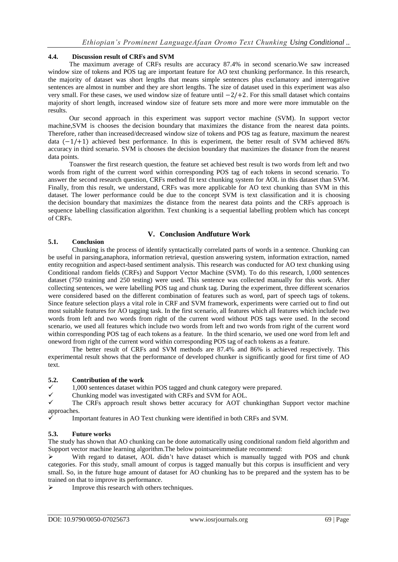## **4.4. Discussion result of CRFs and SVM**

The maximum average of CRFs results are accuracy 87.4% in second scenario.We saw increased window size of tokens and POS tag are important feature for AO text chunking performance. In this research, the majority of dataset was short lengths that means simple sentences plus exclamatory and interrogative sentences are almost in number and they are short lengths. The size of dataset used in this experiment was also very small. For these cases, we used window size of feature until −2/+2. For this small dataset which contains majority of short length, increased window size of feature sets more and more were more immutable on the results.

Our second approach in this experiment was support vector machine (SVM). In support vector machine,SVM is chooses the decision boundary that maximizes the distance from the nearest data points. Therefore, rather than increased/decreased window size of tokens and POS tag as feature, maximum the nearest data (−1/+1) achieved best performance. In this is experiment, the better result of SVM achieved 86% accuracy in third scenario. SVM is chooses the decision boundary that maximizes the distance from the nearest data points.

Toanswer the first research question, the feature set achieved best result is two words from left and two words from right of the current word within corresponding POS tag of each tokens in second scenario. To answer the second research question, CRFs method fit text chunking system for AOL in this dataset than SVM. Finally, from this result, we understand, CRFs was more applicable for AO text chunking than SVM in this dataset. The lower performance could be due to the concept SVM is text classification and it is choosing the decision boundary that maximizes the distance from the nearest data points and the CRFs approach is sequence labelling classification algorithm. Text chunking is a sequential labelling problem which has concept of CRFs.

## **V. Conclusion Andfuture Work**

#### **5.1. Conclusion**

Chunking is the process of identify syntactically correlated parts of words in a sentence. Chunking can be useful in parsing,anaphora, information retrieval, question answering system, information extraction, named entity recognition and aspect-based sentiment analysis. This research was conducted for AO text chunking using Conditional random fields (CRFs) and Support Vector Machine (SVM). To do this research, 1,000 sentences dataset (750 training and 250 testing) were used. This sentence was collected manually for this work. After collecting sentences, we were labelling POS tag and chunk tag. During the experiment, three different scenarios were considered based on the different combination of features such as word, part of speech tags of tokens. Since feature selection plays a vital role in CRF and SVM framework, experiments were carried out to find out most suitable features for AO tagging task. In the first scenario, all features which all features which include two words from left and two words from right of the current word without POS tags were used. In the second scenario, we used all features which include two words from left and two words from right of the current word within corresponding POS tag of each tokens as a feature. In the third scenario, we used one word from left and oneword from right of the current word within corresponding POS tag of each tokens as a feature.

The better result of CRFs and SVM methods are 87.4% and 86% is achieved respectively. This experimental result shows that the performance of developed chunker is significantly good for first time of AO text.

#### **5.2. Contribution of the work**

 $\checkmark$  1,000 sentences dataset within POS tagged and chunk category were prepared.<br>Chunking model was investigated with CREs and SVM for AOI

 $\checkmark$  Chunking model was investigated with CRFs and SVM for AOL.

 The CRFs approach result shows better accuracy for AOT chunkingthan Support vector machine approaches.

Important features in AO Text chunking were identified in both CRFs and SVM.

#### **5.3. Future works**

The study has shown that AO chunking can be done automatically using conditional random field algorithm and Support vector machine learning algorithm.The below pointsareimmediate recommend:

With regard to dataset, AOL didn't have dataset which is manually tagged with POS and chunk categories. For this study, small amount of corpus is tagged manually but this corpus is insufficient and very small. So, in the future huge amount of dataset for AO chunking has to be prepared and the system has to be trained on that to improve its performance.

 $\triangleright$  Improve this research with others techniques.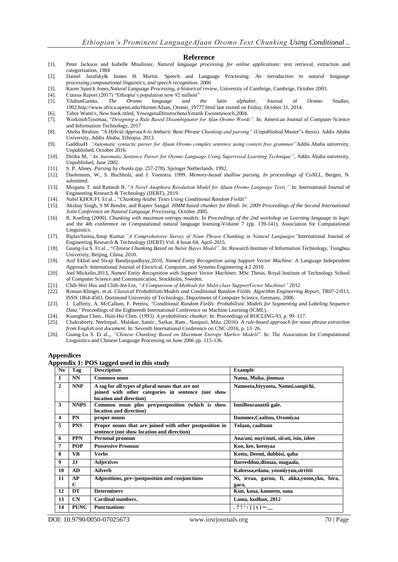#### **Reference**

- [1]. Peter Jackson and Isabelle Moulinier, *Natural language processing for online applications*: text retrieval, extraction and categorization, 1984
- [2]. Daniel Jurafsky& James H. Martin. Speech and Language Processing: *An introduction to natural language processing,computational linguistics, and speech recognition*. 2006
- [3]. Karen Sparck Jones,*Natural Language Processing, a historical review*, University of Cambrige, Cambrige, October 2003.
- [4]. Census Report (2017) "Ethiopia's population now 92 million" <br>[5]. TilahunGamta, *The Oromo language and the*
- [5]. TilahunGamta, *The Oromo language and the latin alphabet*, Journal of Oromo Studies, 1992.http://www.africa.upenn.edu/Hornet/Afaan\_Oromo\_19777.html last visited on Friday, October 31, 2014.
- [6]. Tabor Wami's, New book titled, YewugenaDirsetochenaYetarik Ewunetawoch,2004.
- [7]. WorkinehTesemaa, "*Designing a Rule Based Disambiguator for Afan Oromo Words".* In: American Journal of Computer Science and Information Technology, 2017
- [8]. Abeba Ibrahim. "*A Hybrid Approach to Amharic Base Phrase Chunking and parsing"* (Unpublished Master"s thesis). Addis Ababa University, Addis Ababa, Ethiopia. 2013.
- [9]. GaddisaH .*"Automatic syntactic parser for Afaan Oromo complex sentence using context free grammar"*Addis Ababa university, Unpublished, October 2016.
- [10]. Diriba M, *"An Automatic Sentence Parser for Oromo Language Using Supervised Learning Technique"*, Addis Ababa university, Unpublished, June 2002.
- [11]. S. P. Abney. *Parsing by chunks* (pp. 257-278). Springer Netherlands. 1992.
- [12]. Daelemans, W., S. Buchholz, and J. Veenstra. 1999. *Memory-based shallow parsing. In proceedings of CoNLL*, Bergen, N. submitted.
- [13]. Misganu T. and Ramesh B, "*A Novel Anaphora Resolution Model for Afaan Oromo Language Texts."* In: International Journal of Engineering Research & Technology (IJERT), 2019.
- [14]. Nabil KHOUFI. Et al.., "*Chunking Arabic Texts Using Conditional Random Fields*"
- [15]. Akshay Singh, S M Bendre, and Rajeev Sangal. *HMM based chunker for Hindi. In: 2009 Proceedings of the Second International Joint Conference on Natural Language Processing*, October 2005.
- [16]. R. Koeling (2000). *Chunking with maximum entropy models. In Proceedings of the 2nd workshop on Learning language in logic* and the 4th conference on Computational natural language learning-Volume 7 (pp. 139-141). Association for Computational Linguistics.
- [17]. BiplavSarma,Anup Kumar*,"A Comprehensive Survey of Noun Phrase Chunking in Natural Languages"*International Journal of Engineering Research & Technology (IJERT) Vol. 4 Issue 04, April-2015.
- [18]. Guang-Lu S. Et al.., "*Chinese Chunking Based on Naive Bayes Model"*. In: Research Institute of Information Technology, Tsinghua University, Beijing, China, 2010.
- [19]. Asif Ekbal and Sivaji Bandyopadhyay,2010, *Named Entity Recognition using Support Vector Machine*: A Language Independent Approach: International Journal of Electrical, Computer, and Systems Engineering 4:2 2010.
- [20]. Joel Mickelin,2013, *Named Entity Recognition with Support Vector Machines*: MSc Thesis, Royal Institute of Technology School of Computer Science and Communication, Stockholm, Sweden.
- [21]. Chih-Wei Hsu and Chih-Jen Lin, *"A Comparison of Methods for Multi-class SupportVector Machines"* 2012
- [22]. Roman Klinger, et.al. *Classical ProbabilisticModels and Conditional Random Fields. Algorithm Engineering Report*, TR07-2-013, ISSN 1864-4503. Dortmund University of Technology, Department of Computer Science, Germany, 2006
- [23]. J. Lafferty, A. McCallum, F. Pereira*, "Conditional Random Fields: Probabilistic Models for Segmenting and Labeling Sequence Data,"* Proceedings of the Eighteenth International Conference on Machine Learning (lCML).
- [24]. Kuanghua Chen., Hsin-Hsi Chen. (1993). *A probabilistic chunker*. In: Proceedings of ROCLING-93, p. 99–117.
- [25]. Chakraborty, Neelotpal., Malakar, Samir., Sarkar, Ram., Nasipuri, Mita. (2016). *A rule-based approach for noun phrase extraction from English text document*. In: Seventh International Conference on CNC-2016, p. 13–26.
- [26]. Guang-Lu S. Et al.., *"Chinese Chunking Based on Maximum Entropy Markov Models*". In: The Association for Computational Linguistics and Chinese Language Processing on June 2006 pp. 115-136.

#### **Appendices**

#### **Appendix 1: POS tagged used in this study**

| No             | Tag               | <b>Description</b>                                                                                                                | <b>Example</b>                                      |
|----------------|-------------------|-----------------------------------------------------------------------------------------------------------------------------------|-----------------------------------------------------|
| $\mathbf{1}$   | <b>NN</b>         | Common noun                                                                                                                       | Nama, Muka, jimmaa                                  |
| $\overline{2}$ | <b>NNP</b>        | A tag for all types of plural nouns that are not<br>joined with other categories in sentence (not show<br>location and direction) | Namoota, biyyoota, Namni, sangichi,                 |
| 3              | <b>NNPS</b>       | Common noun plus pre/postposition (which is show<br>location and direction)                                                       | InniBooranattii gale.                               |
| 4              | <b>PN</b>         | proper nouns                                                                                                                      | Dammee, Caaltuu, Oromiyaa                           |
| 5              | <b>PNS</b>        | Proper nouns that are joined with other postposition in<br>sentence (not show location and direction)                             | Tolaan, caaltuun                                    |
| 6              | <b>PPN</b>        | <b>Personal pronoun</b>                                                                                                           | Ana/ani, nuyi/nuti, sii/ati, isin, ishee            |
| 7              | <b>POP</b>        | <b>Possessive Pronoun</b>                                                                                                         | Koo, kee, keenvaa                                   |
| 8              | <b>VB</b>         | <b>Verbs</b>                                                                                                                      | Kottu, Deemi, dubbisi, qaba                         |
| 9              | IJ                | <b>Adjectives</b>                                                                                                                 | Bareedduu, diimaa, magaala,                         |
| 10             | AD                | <b>Adverb</b>                                                                                                                     | Kaleessa, edana, yoomiyyuu, sirritti                |
| 11             | AP<br>$\mathbf C$ | Adpositions, pre-/postposition and conjunctions                                                                                   | Ni, irraa, garuu, fi, akka,yoom,ykn, bira,<br>gara, |
| 12             | DT                | <b>Determiners</b>                                                                                                                | Kun, kana, kanneen, sana                            |
| 13             | CN                | Cardinal numbers.                                                                                                                 | Lama, kudhan, 2012                                  |
| 14             | <b>PUNC</b>       | <b>Punctuations</b>                                                                                                               | $.?\, !': [\{ () = \_$                              |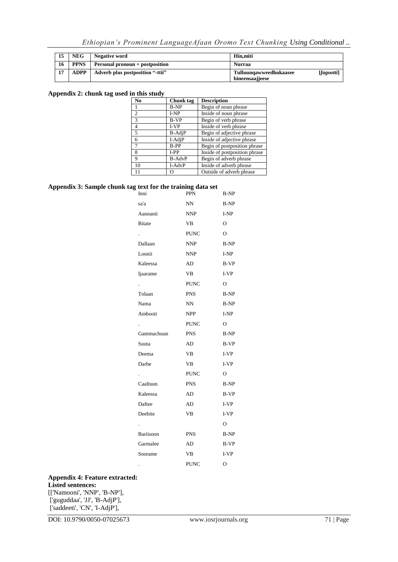*Ethiopian's Prominent LanguageAfaan Oromo Text Chunking Using Conditional ..*

| 15 | <b>NEG</b>  | Negative word                    | Hin.miti                                                |
|----|-------------|----------------------------------|---------------------------------------------------------|
| 16 | <b>PPNS</b> | Personal pronoun + postposition  | Nurraa                                                  |
| 17 | <b>ADPP</b> | Adverb plus postposition "-ttii" | [fagootti]<br>Tulluunqawweedhukaasee<br>bineensaajjeese |

#### **Appendix 2: chunk tag used in this study**

| No     | Chunk tag     | <b>Description</b>            |
|--------|---------------|-------------------------------|
|        | <b>B-NP</b>   | Begin of noun phrase          |
| 2      | $I-NP$        | Inside of noun phrase         |
| 3      | <b>B-VP</b>   | Begin of verb phrase          |
| 4      | I-VP          | Inside of verb phrase         |
| 5      | B-AdjP        | Begin of adjective phrase     |
| 6      | I-AdjP        | Inside of adjective phrase    |
| $\tau$ | <b>B-PP</b>   | Begin of postposition phrase  |
| 8      | $I-PP$        | Inside of postposition phrase |
| 9      | <b>B-AdvP</b> | Begin of adverb phrase        |
| 10     | I-AdvP        | Inside of adverb phrase       |
| 11     | Ω             | Outside of adverb phrase      |

#### **Appendix 3: Sample chunk tag text for the training data set**

| Inni           | o<br>PPN    | <b>B-NP</b>    |
|----------------|-------------|----------------|
| sa'a           | NN          | <b>B-NP</b>    |
| Aannanii       | <b>NNP</b>  | I-NP           |
| <b>B</b> itate | <b>VB</b>   | $\overline{O}$ |
|                | <b>PUNC</b> | $\Omega$       |
| Dallaan        | <b>NNP</b>  | <b>B-NP</b>    |
| Loonii         | <b>NNP</b>  | I-NP           |
| Kaleessa       | AD          | <b>B-VP</b>    |
| Ijaarame       | <b>VB</b>   | $I-VP$         |
|                | <b>PUNC</b> | 0              |
| Tolaan         | <b>PNS</b>  | <b>B-NP</b>    |
| Nama           | NN          | <b>B-NP</b>    |
| Ambooti        | <b>NPP</b>  | I-NP           |
|                | <b>PUNC</b> | O              |
| Gammachuun     | <b>PNS</b>  | B-NP           |
| Suuta          | AD          | <b>B-VP</b>    |
| Deema          | <b>VB</b>   | $I-VP$         |
| Darbe          | VB          | $I-VP$         |
|                | <b>PUNC</b> | $\overline{O}$ |
| Caaltuun       | <b>PNS</b>  | <b>B-NP</b>    |
| Kaleessa       | AD          | B-VP           |
| Daftee         | AD          | $I-VP$         |
| Deebite        | VB          | $I-VP$         |
|                |             | $\Omega$       |
| Bariisoon      | <b>PNS</b>  | B-NP           |
| Garmalee       | AD          | <b>B-VP</b>    |
| Soorame        | <b>VB</b>   | I-VP           |
|                | <b>PUNC</b> | O              |

#### **Appendix 4: Feature extracted:**

#### **Listed sentences:**

[['Namooni', 'NNP', 'B-NP'], ['guguddaa', 'JJ', 'B-AdjP'], ['saddeeti', 'CN', 'I-AdjP'],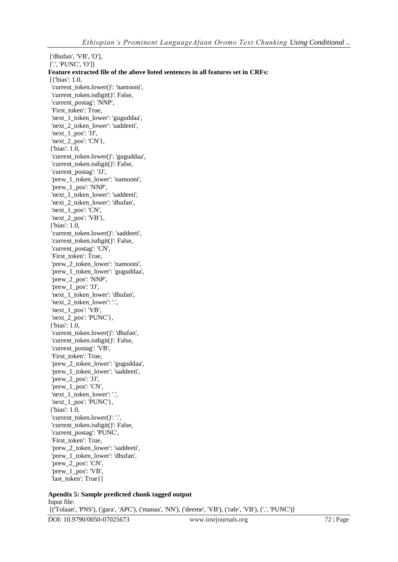['dhufan', 'VB', 'O'], ['.', 'PUNC', 'O']] **Feature extracted file of the above listed sentences in all features set in CRFs:** [{'bias': 1.0, 'current\_token.lower()': 'namooni', 'current\_token.isdigit()': False, 'current\_postag': 'NNP', 'First\_token': True, 'next\_1\_token\_lower': 'guguddaa', 'next 2 token lower': 'saddeeti', 'next\_1\_pos': 'JJ', 'next\_2\_pos': 'CN'}, {'bias': 1.0, 'current\_token.lower()': 'guguddaa', 'current\_token.isdigit()': False, 'current\_postag': 'JJ', 'prew\_1\_token\_lower': 'namooni', 'prew\_1\_pos': 'NNP', 'next\_1\_token\_lower': 'saddeeti', 'next\_2\_token\_lower': 'dhufan', 'next\_1\_pos': 'CN', 'next\_2\_pos': 'VB'}, {'bias': 1.0, 'current\_token.lower()': 'saddeeti', 'current\_token.isdigit()': False, 'current\_postag': 'CN', 'First\_token': True, 'prew\_2\_token\_lower': 'namooni', 'prew\_1\_token\_lower': 'guguddaa', 'prew\_2\_pos': 'NNP', 'prew\_1\_pos': 'JJ', 'next\_1\_token\_lower': 'dhufan', 'next\_2\_token\_lower': '.', 'next\_1\_pos': 'VB', 'next\_2\_pos': 'PUNC'}, {'bias': 1.0, 'current\_token.lower()': 'dhufan', 'current\_token.isdigit()': False, 'current\_postag': 'VB', 'First\_token': True, 'prew\_2\_token\_lower': 'guguddaa', 'prew\_1\_token\_lower': 'saddeeti', 'prew\_2\_pos': 'JJ', 'prew\_1\_pos': 'CN', 'next\_1\_token\_lower': '.', 'next\_1\_pos': 'PUNC'}, {'bias': 1.0, 'current\_token.lower()': '.', 'current\_token.isdigit()': False, 'current\_postag': 'PUNC', 'First\_token': True, 'prew\_2\_token\_lower': 'saddeeti', 'prew\_1\_token\_lower': 'dhufan', 'prew\_2\_pos': 'CN', 'prew\_1\_pos': 'VB', 'last\_token': True}]

**Apendix 5: Sample predicted chunk tagged output** Input file: [('Tolaan', 'PNS'), ('gara', 'APC'), ('manaa', 'NN'), ('deeme', 'VB'), ('rafe', 'VB'), ('.', 'PUNC')]